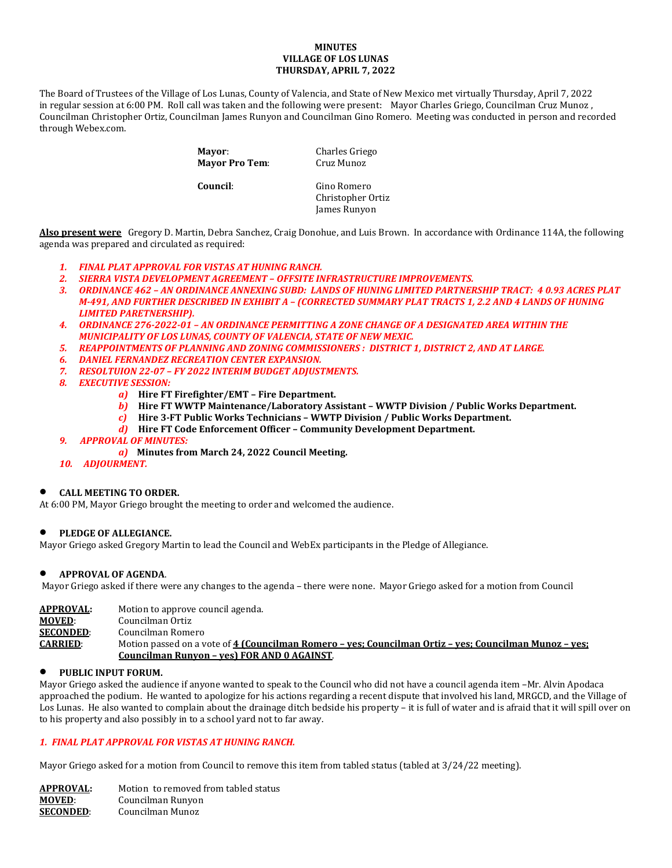### **MINUTES VILLAGE OF LOS LUNAS THURSDAY, APRIL 7, 2022**

The Board of Trustees of the Village of Los Lunas, County of Valencia, and State of New Mexico met virtually Thursday, April 7, 2022 in regular session at 6:00 PM. Roll call was taken and the following were present: Mayor Charles Griego, Councilman Cruz Munoz , Councilman Christopher Ortiz, Councilman James Runyon and Councilman Gino Romero. Meeting was conducted in person and recorded through Webex.com.

> **Mayor:** Charles Griego<br> **Mayor Pro Tem:** Cruz Munoz **Mayor Pro Tem:**

 **Council**: Gino Romero Christopher Ortiz James Runyon

**Also present were** Gregory D. Martin, Debra Sanchez, Craig Donohue, and Luis Brown. In accordance with Ordinance 114A, the following agenda was prepared and circulated as required:

- *1. FINAL PLAT APPROVAL FOR VISTAS AT HUNING RANCH.*
- *2. SIERRA VISTA DEVELOPMENT AGREEMENT OFFSITE INFRASTRUCTURE IMPROVEMENTS.*
- *3. ORDINANCE 462 AN ORDINANCE ANNEXING SUBD: LANDS OF HUNING LIMITED PARTNERSHIP TRACT: 4 0.93 ACRES PLAT M-491, AND FURTHER DESCRIBED IN EXHIBIT A – (CORRECTED SUMMARY PLAT TRACTS 1, 2.2 AND 4 LANDS OF HUNING LIMITED PARETNERSHIP).*
- *4. ORDINANCE 276-2022-01 AN ORDINANCE PERMITTING A ZONE CHANGE OF A DESIGNATED AREA WITHIN THE MUNICIPALITY OF LOS LUNAS, COUNTY OF VALENCIA, STATE OF NEW MEXIC.*
- *5. REAPPOINTMENTS OF PLANNING AND ZONING COMMISSIONERS : DISTRICT 1, DISTRICT 2, AND AT LARGE.*
- *6. DANIEL FERNANDEZ RECREATION CENTER EXPANSION.*
- *7. RESOLTUION 22-07 FY 2022 INTERIM BUDGET ADJUSTMENTS.*
- *8. EXECUTIVE SESSION:*
	- *a)* **Hire FT Firefighter/EMT Fire Department.**
		- *b)* **Hire FT WWTP Maintenance/Laboratory Assistant WWTP Division / Public Works Department.**
		- *c)* **Hire 3-FT Public Works Technicians WWTP Division / Public Works Department.**
		- *d)* **Hire FT Code Enforcement Officer Community Development Department.**
- *9. APPROVAL OF MINUTES:* 
	- *a)* **Minutes from March 24, 2022 Council Meeting.**
- *10. ADJOURMENT.*

### • **CALL MEETING TO ORDER.**

At 6:00 PM, Mayor Griego brought the meeting to order and welcomed the audience.

### • **PLEDGE OF ALLEGIANCE.**

Mayor Griego asked Gregory Martin to lead the Council and WebEx participants in the Pledge of Allegiance.

### • **APPROVAL OF AGENDA**.

Mayor Griego asked if there were any changes to the agenda – there were none. Mayor Griego asked for a motion from Council

| APPROVAL:        | Motion to approve council agenda.                                                                      |
|------------------|--------------------------------------------------------------------------------------------------------|
| <b>MOVED:</b>    | Councilman Ortiz                                                                                       |
| <b>SECONDED:</b> | Councilman Romero                                                                                      |
| <b>CARRIED:</b>  | Motion passed on a vote of 4 (Councilman Romero – yes; Councilman Ortiz – yes; Councilman Munoz – yes; |
|                  | Councilman Runyon - ves) FOR AND 0 AGAINST.                                                            |

### • **PUBLIC INPUT FORUM.**

Mayor Griego asked the audience if anyone wanted to speak to the Council who did not have a council agenda item –Mr. Alvin Apodaca approached the podium. He wanted to apologize for his actions regarding a recent dispute that involved his land, MRGCD, and the Village of Los Lunas. He also wanted to complain about the drainage ditch bedside his property – it is full of water and is afraid that it will spill over on to his property and also possibly in to a school yard not to far away.

## *1. FINAL PLAT APPROVAL FOR VISTAS AT HUNING RANCH.*

Mayor Griego asked for a motion from Council to remove this item from tabled status (tabled at 3/24/22 meeting).

| APPROVAL:        | Motion to removed from tabled status |
|------------------|--------------------------------------|
| MOVED:           | Councilman Runyon                    |
| <b>SECONDED:</b> | Councilman Munoz                     |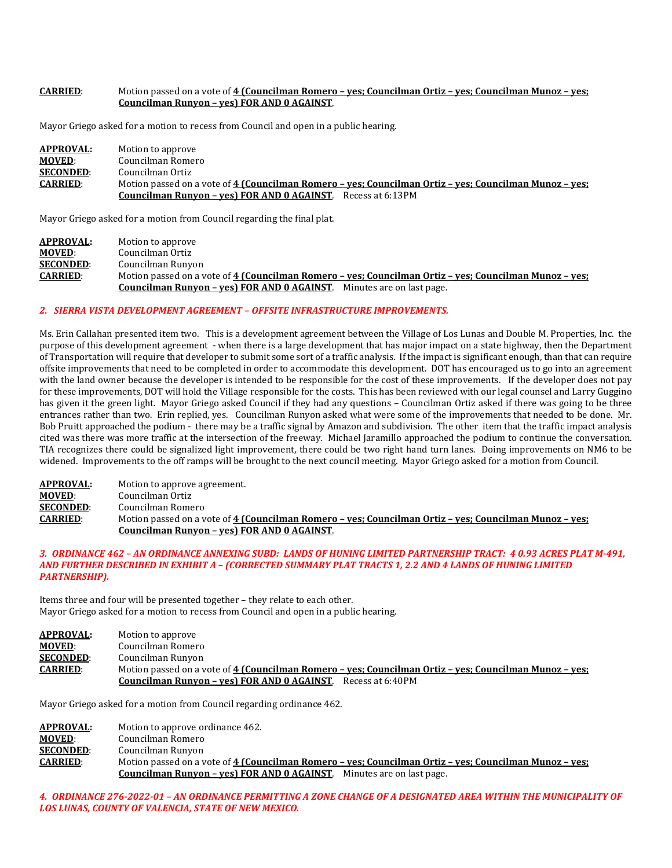## **CARRIED**: Motion passed on a vote of **4 (Councilman Romero – yes; Councilman Ortiz – yes; Councilman Munoz – yes; Councilman Runyon – yes) FOR AND 0 AGAINST**.

Mayor Griego asked for a motion to recess from Council and open in a public hearing.

| <b>APPROVAL:</b> | Motion to approve                                                                                      |
|------------------|--------------------------------------------------------------------------------------------------------|
| <b>MOVED:</b>    | Councilman Romero                                                                                      |
| <b>SECONDED:</b> | Councilman Ortiz                                                                                       |
| <b>CARRIED:</b>  | Motion passed on a vote of 4 (Councilman Romero – yes; Councilman Ortiz – yes; Councilman Munoz – yes; |
|                  | <b>Councilman Runyon - yes) FOR AND 0 AGAINST.</b> Recess at 6:13PM                                    |

Mayor Griego asked for a motion from Council regarding the final plat.

| <b>APPROVAL:</b> | Motion to approve                                                                                      |
|------------------|--------------------------------------------------------------------------------------------------------|
| <b>MOVED:</b>    | Councilman Ortiz                                                                                       |
| <b>SECONDED:</b> | Councilman Runyon                                                                                      |
| <b>CARRIED:</b>  | Motion passed on a vote of 4 (Councilman Romero – ves; Councilman Ortiz – ves; Councilman Munoz – ves; |
|                  | <b>Councilman Runyon – yes) FOR AND 0 AGAINST.</b> Minutes are on last page.                           |

#### *2. SIERRA VISTA DEVELOPMENT AGREEMENT – OFFSITE INFRASTRUCTURE IMPROVEMENTS.*

Ms. Erin Callahan presented item two. This is a development agreement between the Village of Los Lunas and Double M. Properties, Inc. the purpose of this development agreement - when there is a large development that has major impact on a state highway, then the Department of Transportation will require that developer to submit some sort of a traffic analysis. If the impact is significant enough, than that can require offsite improvements that need to be completed in order to accommodate this development. DOT has encouraged us to go into an agreement with the land owner because the developer is intended to be responsible for the cost of these improvements. If the developer does not pay for these improvements, DOT will hold the Village responsible for the costs. This has been reviewed with our legal counsel and Larry Guggino has given it the green light. Mayor Griego asked Council if they had any questions – Councilman Ortiz asked if there was going to be three entrances rather than two. Erin replied, yes. Councilman Runyon asked what were some of the improvements that needed to be done. Mr. Bob Pruitt approached the podium - there may be a traffic signal by Amazon and subdivision. The other item that the traffic impact analysis cited was there was more traffic at the intersection of the freeway. Michael Jaramillo approached the podium to continue the conversation. TIA recognizes there could be signalized light improvement, there could be two right hand turn lanes. Doing improvements on NM6 to be widened. Improvements to the off ramps will be brought to the next council meeting. Mayor Griego asked for a motion from Council.

| <b>APPROVAL:</b> | Motion to approve agreement.                                                                           |
|------------------|--------------------------------------------------------------------------------------------------------|
| <b>MOVED:</b>    | Councilman Ortiz                                                                                       |
| <b>SECONDED:</b> | Councilman Romero                                                                                      |
| <b>CARRIED:</b>  | Motion passed on a vote of 4 (Councilman Romero – yes; Councilman Ortiz – yes; Councilman Munoz – yes; |
|                  | Councilman Runyon - yes) FOR AND 0 AGAINST.                                                            |

#### *3. ORDINANCE 462 – AN ORDINANCE ANNEXING SUBD: LANDS OF HUNING LIMITED PARTNERSHIP TRACT: 4 0.93 ACRES PLAT M-491, AND FURTHER DESCRIBED IN EXHIBIT A – (CORRECTED SUMMARY PLAT TRACTS 1, 2.2 AND 4 LANDS OF HUNING LIMITED PARTNERSHIP).*

Items three and four will be presented together – they relate to each other. Mayor Griego asked for a motion to recess from Council and open in a public hearing.

| <b>APPROVAL:</b> | Motion to approve                                                                                      |
|------------------|--------------------------------------------------------------------------------------------------------|
| <b>MOVED:</b>    | Councilman Romero                                                                                      |
| <b>SECONDED:</b> | Councilman Runyon                                                                                      |
| <b>CARRIED:</b>  | Motion passed on a vote of 4 (Councilman Romero – ves: Councilman Ortiz – ves: Councilman Munoz – ves: |
|                  | <b>Councilman Runyon - yes) FOR AND 0 AGAINST.</b> Recess at 6:40PM                                    |

Mayor Griego asked for a motion from Council regarding ordinance 462.

| <b>APPROVAL:</b> | Motion to approve ordinance 462.                                                                       |
|------------------|--------------------------------------------------------------------------------------------------------|
| <b>MOVED:</b>    | Councilman Romero                                                                                      |
| <b>SECONDED:</b> | Councilman Runyon                                                                                      |
| <b>CARRIED:</b>  | Motion passed on a vote of 4 (Councilman Romero – ves: Councilman Ortiz – ves: Councilman Munoz – ves: |
|                  | <b>Councilman Runyon – yes) FOR AND 0 AGAINST.</b> Minutes are on last page.                           |

*4. ORDINANCE 276-2022-01 – AN ORDINANCE PERMITTING A ZONE CHANGE OF A DESIGNATED AREA WITHIN THE MUNICIPALITY OF LOS LUNAS, COUNTY OF VALENCIA, STATE OF NEW MEXICO.*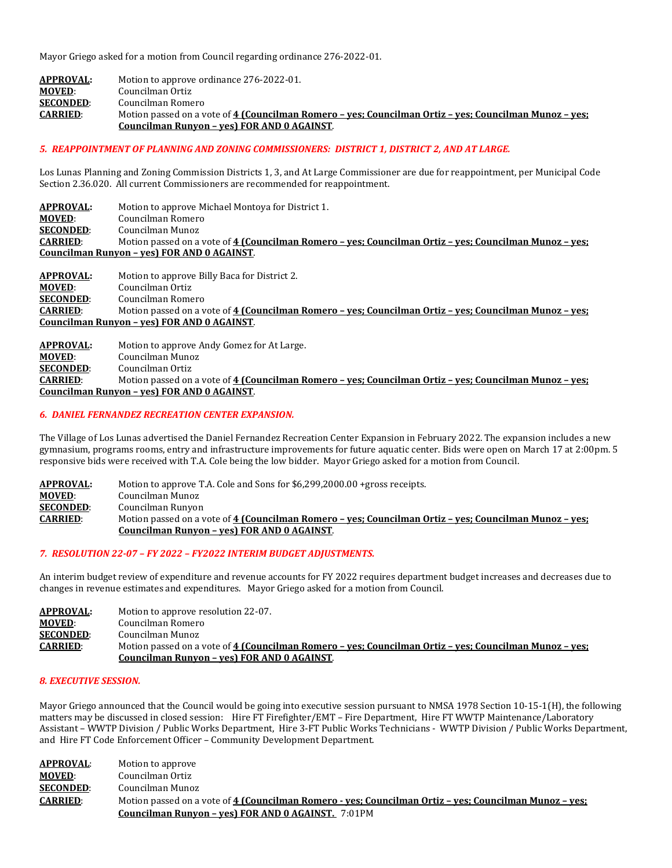Mayor Griego asked for a motion from Council regarding ordinance 276-2022-01.

| <b>APPROVAL:</b> | Motion to approve ordinance 276-2022-01.                                                               |
|------------------|--------------------------------------------------------------------------------------------------------|
| <b>MOVED:</b>    | Councilman Ortiz                                                                                       |
| <b>SECONDED:</b> | Councilman Romero                                                                                      |
| <b>CARRIED:</b>  | Motion passed on a vote of 4 (Councilman Romero – yes; Councilman Ortiz – yes; Councilman Munoz – yes; |
|                  | Councilman Runyon - ves) FOR AND 0 AGAINST.                                                            |

#### *5. REAPPOINTMENT OF PLANNING AND ZONING COMMISSIONERS: DISTRICT 1, DISTRICT 2, AND AT LARGE.*

Los Lunas Planning and Zoning Commission Districts 1, 3, and At Large Commissioner are due for reappointment, per Municipal Code Section 2.36.020. All current Commissioners are recommended for reappointment.

**APPROVAL:** Motion to approve Michael Montoya for District 1. **MOVED:** Councilman Romero<br>**SECONDED:** Councilman Munoz **SECONDED:** Councilman Munoz<br>**CARRIED:** Motion passed on a **CARRIED**: Motion passed on a vote of **4 (Councilman Romero – yes; Councilman Ortiz – yes; Councilman Munoz – yes; Councilman Runyon – yes) FOR AND 0 AGAINST**.

**APPROVAL:** Motion to approve Billy Baca for District 2.<br>**MOVED**: Councilman Ortiz **MOVED:** Councilman Ortiz<br> **SECONDED:** Councilman Rome **SECONDED:** Councilman Romero<br> **CARRIED:** Motion passed on a v **CARRIED**: Motion passed on a vote of **4 (Councilman Romero – yes; Councilman Ortiz – yes; Councilman Munoz – yes; Councilman Runyon – yes) FOR AND 0 AGAINST**.

**APPROVAL:** Motion to approve Andy Gomez for At Large. **MOVED:** Councilman Munoz<br>**SECONDED:** Councilman Ortiz **SECONDED:** Councilman Ortiz<br> **CARRIED:** Motion passed on **CARRIED**: Motion passed on a vote of **4 (Councilman Romero – yes; Councilman Ortiz – yes; Councilman Munoz – yes; Councilman Runyon – yes) FOR AND 0 AGAINST**.

#### *6. DANIEL FERNANDEZ RECREATION CENTER EXPANSION.*

The Village of Los Lunas advertised the Daniel Fernandez Recreation Center Expansion in February 2022. The expansion includes a new gymnasium, programs rooms, entry and infrastructure improvements for future aquatic center. Bids were open on March 17 at 2:00pm. 5 responsive bids were received with T.A. Cole being the low bidder. Mayor Griego asked for a motion from Council.

| APPROVAL:        | Motion to approve T.A. Cole and Sons for \$6,299,2000.00 + gross receipts.                             |
|------------------|--------------------------------------------------------------------------------------------------------|
| <b>MOVED:</b>    | Councilman Munoz                                                                                       |
| <b>SECONDED:</b> | Councilman Runyon                                                                                      |
| <b>CARRIED:</b>  | Motion passed on a vote of 4 (Councilman Romero – yes; Councilman Ortiz – yes; Councilman Munoz – yes; |
|                  | Councilman Runyon - ves) FOR AND 0 AGAINST.                                                            |

#### *7. RESOLUTION 22-07 – FY 2022 – FY2022 INTERIM BUDGET ADJUSTMENTS.*

An interim budget review of expenditure and revenue accounts for FY 2022 requires department budget increases and decreases due to changes in revenue estimates and expenditures. Mayor Griego asked for a motion from Council.

| <b>APPROVAL:</b> | Motion to approve resolution 22-07.                                                                    |
|------------------|--------------------------------------------------------------------------------------------------------|
| <b>MOVED:</b>    | Councilman Romero                                                                                      |
| <b>SECONDED:</b> | Councilman Munoz                                                                                       |
| <b>CARRIED:</b>  | Motion passed on a vote of 4 (Councilman Romero – yes; Councilman Ortiz – yes; Councilman Munoz – yes; |
|                  | Councilman Runyon - yes) FOR AND 0 AGAINST.                                                            |

#### *8. EXECUTIVE SESSION.*

Mayor Griego announced that the Council would be going into executive session pursuant to NMSA 1978 Section 10-15-1(H), the following matters may be discussed in closed session: Hire FT Firefighter/EMT – Fire Department, Hire FT WWTP Maintenance/Laboratory Assistant – WWTP Division / Public Works Department, Hire 3-FT Public Works Technicians - WWTP Division / Public Works Department, and Hire FT Code Enforcement Officer – Community Development Department.

| <b>APPROVAL:</b> | Motion to approve                                                                                      |
|------------------|--------------------------------------------------------------------------------------------------------|
| <b>MOVED:</b>    | Councilman Ortiz                                                                                       |
| <b>SECONDED:</b> | Councilman Munoz                                                                                       |
| <b>CARRIED:</b>  | Motion passed on a vote of 4 (Councilman Romero - yes; Councilman Ortiz - yes; Councilman Munoz - yes; |
|                  | <b>Councilman Runyon - yes) FOR AND 0 AGAINST.</b> 7:01PM                                              |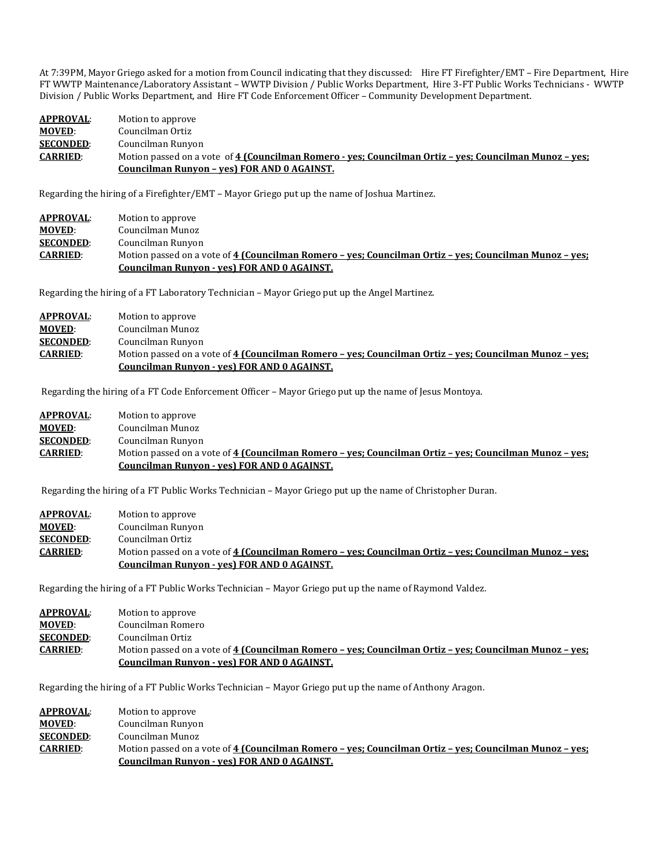At 7:39PM, Mayor Griego asked for a motion from Council indicating that they discussed: Hire FT Firefighter/EMT – Fire Department, Hire FT WWTP Maintenance/Laboratory Assistant – WWTP Division / Public Works Department, Hire 3-FT Public Works Technicians - WWTP Division / Public Works Department, and Hire FT Code Enforcement Officer – Community Development Department.

| APPROVAL:        | Motion to approve                                                                                      |
|------------------|--------------------------------------------------------------------------------------------------------|
| <b>MOVED:</b>    | Councilman Ortiz                                                                                       |
| <b>SECONDED:</b> | Councilman Runyon                                                                                      |
| <b>CARRIED:</b>  | Motion passed on a vote of 4 (Councilman Romero - yes; Councilman Ortiz – yes; Councilman Munoz – yes; |
|                  | Councilman Runyon - yes) FOR AND 0 AGAINST.                                                            |

Regarding the hiring of a Firefighter/EMT – Mayor Griego put up the name of Joshua Martinez.

| <b>APPROVAL:</b> | Motion to approve                                                                                      |
|------------------|--------------------------------------------------------------------------------------------------------|
| <b>MOVED:</b>    | Councilman Munoz                                                                                       |
| <b>SECONDED:</b> | Councilman Runyon                                                                                      |
| <b>CARRIED:</b>  | Motion passed on a vote of 4 (Councilman Romero – ves; Councilman Ortiz – ves; Councilman Munoz – ves; |
|                  | <b>Councilman Runyon - yes) FOR AND 0 AGAINST.</b>                                                     |

Regarding the hiring of a FT Laboratory Technician – Mayor Griego put up the Angel Martinez.

| <b>APPROVAL:</b> | Motion to approve                                                                                                                                     |
|------------------|-------------------------------------------------------------------------------------------------------------------------------------------------------|
| <b>MOVED:</b>    | Councilman Munoz                                                                                                                                      |
| <b>SECONDED:</b> | Councilman Runyon                                                                                                                                     |
| <b>CARRIED:</b>  | Motion passed on a vote of 4 (Councilman Romero – yes; Councilman Ortiz – yes; Councilman Munoz – yes;<br>Councilman Runyon - yes) FOR AND 0 AGAINST. |
|                  |                                                                                                                                                       |

Regarding the hiring of a FT Code Enforcement Officer – Mayor Griego put up the name of Jesus Montoya.

| APPROVAL:        | Motion to approve                                                                                      |
|------------------|--------------------------------------------------------------------------------------------------------|
| <b>MOVED:</b>    | Councilman Munoz                                                                                       |
| <b>SECONDED:</b> | Councilman Runyon                                                                                      |
| <b>CARRIED:</b>  | Motion passed on a vote of 4 (Councilman Romero – ves: Councilman Ortiz – ves: Councilman Munoz – ves: |
|                  | <b>Councilman Runyon - yes) FOR AND 0 AGAINST.</b>                                                     |

Regarding the hiring of a FT Public Works Technician – Mayor Griego put up the name of Christopher Duran.

| <b>APPROVAL:</b> | Motion to approve                                                                                      |
|------------------|--------------------------------------------------------------------------------------------------------|
| <b>MOVED:</b>    | Councilman Runyon                                                                                      |
| <b>SECONDED:</b> | Councilman Ortiz                                                                                       |
| <b>CARRIED:</b>  | Motion passed on a vote of 4 (Councilman Romero – ves: Councilman Ortiz – ves: Councilman Munoz – ves: |
|                  | Councilman Runyon - yes) FOR AND 0 AGAINST.                                                            |

Regarding the hiring of a FT Public Works Technician – Mayor Griego put up the name of Raymond Valdez.

| <b>APPROVAL:</b> | Motion to approve                                                                                      |
|------------------|--------------------------------------------------------------------------------------------------------|
| <b>MOVED:</b>    | Councilman Romero                                                                                      |
| <b>SECONDED:</b> | Councilman Ortiz                                                                                       |
| <b>CARRIED:</b>  | Motion passed on a vote of 4 (Councilman Romero – ves; Councilman Ortiz – ves; Councilman Munoz – ves; |
|                  | Councilman Runyon - yes) FOR AND 0 AGAINST.                                                            |

Regarding the hiring of a FT Public Works Technician – Mayor Griego put up the name of Anthony Aragon.

| <b>APPROVAL:</b> | Motion to approve                                                                                      |
|------------------|--------------------------------------------------------------------------------------------------------|
| <b>MOVED:</b>    | Councilman Runyon                                                                                      |
| <b>SECONDED:</b> | Councilman Munoz                                                                                       |
| <b>CARRIED:</b>  | Motion passed on a vote of 4 (Councilman Romero - yes; Councilman Ortiz - yes; Councilman Munoz - yes; |
|                  | Councilman Runyon - yes) FOR AND 0 AGAINST.                                                            |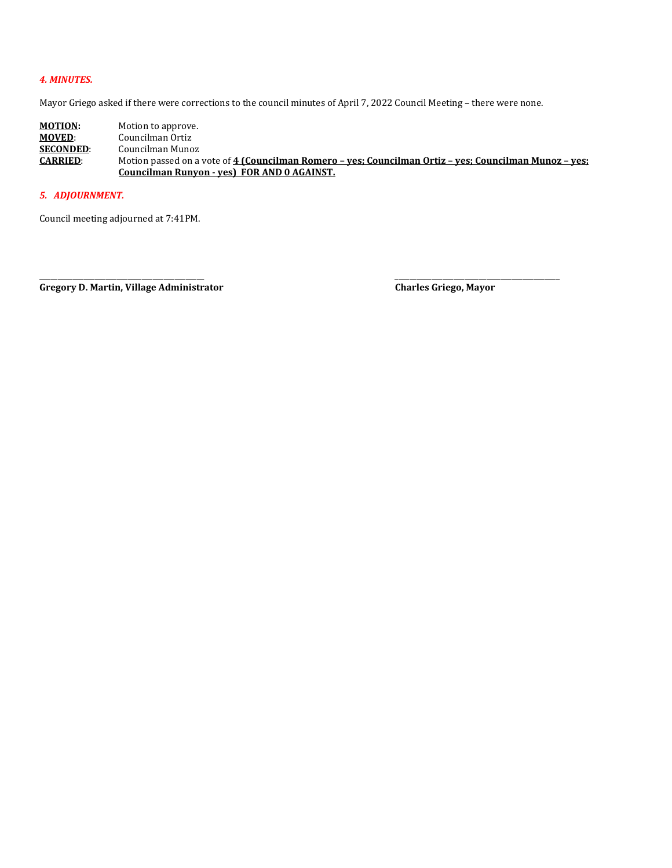# *4. MINUTES.*

Mayor Griego asked if there were corrections to the council minutes of April 7, 2022 Council Meeting – there were none.

**MOTION:** Motion to approve.<br> **MOVED:** Councilman Ortiz **MOVED:** Councilman Ortiz<br>**SECONDED:** Councilman Muno: **SECONDED:** Councilman Munoz<br>**CARRIED:** Motion passed on a Motion passed on a vote of 4 (Councilman Romero - yes; Councilman Ortiz - yes; Councilman Munoz - yes; **Councilman Runyon - yes) FOR AND 0 AGAINST.** 

#### *5. ADJOURNMENT.*

Council meeting adjourned at 7:41PM.

\_\_\_\_\_\_\_\_\_\_\_\_\_\_\_\_\_\_\_\_\_\_\_\_\_\_\_\_\_\_\_\_\_\_\_\_\_\_\_\_\_\_\_\_\_ \_\_\_\_\_\_\_\_\_\_\_\_\_\_\_\_\_\_\_\_\_\_\_\_\_\_\_\_\_\_\_\_\_\_\_\_\_\_\_\_\_\_\_\_\_ **Gregory D. Martin, Village Administrator Charles Griego, Mayor**